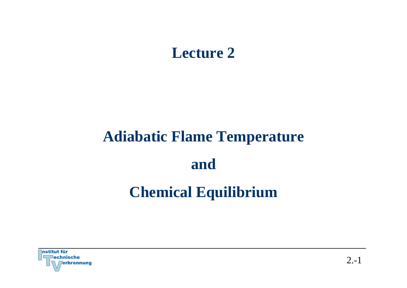# **Lecture 2**

# **Adiabatic Flame Temperature and Chemical Equilibrium**

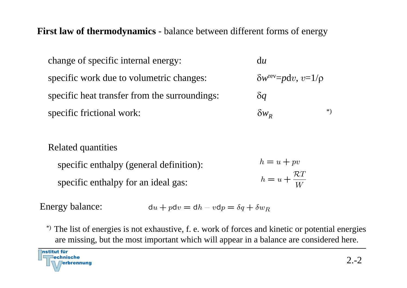**First law of thermodynamics** - balance between different forms of energy

change of specific internal energy: d*<sup>u</sup>* specific work due to volumetric changes: δ*w*rev=*p*d<sup>v</sup>, <sup>v</sup>=1/ρ specific heat transfer from the surroundings: δ*q* specific frictional work: δ*w<sub>R</sub>*  $R \hspace{2.5cm} * )$ 

#### Related quantities

 $h = u + pv$ specific enthalpy (general definition):  $h = u + \frac{\mathcal{R}T}{W}$ specific enthalpy for an ideal gas:

Energy balance:  $du + p dv = dh - v dp = \delta q + \delta w_R$ 

\*) The list of energies is not exhaustive, f. e. work of forces and kinetic or potential energies are missing, but the most important which will appear in a balance are considered here.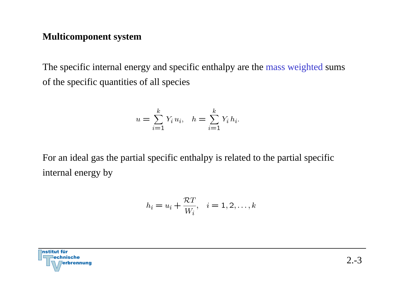#### **Multicomponent system**

The specific internal energy and specific enthalpy are the mass weighted sums of the specific quantities of all species

$$
u = \sum_{i=1}^{k} Y_i u_i, \quad h = \sum_{i=1}^{k} Y_i h_i.
$$

For an ideal gas the partial specific enthalpy is related to the partial specific internal energy by

$$
h_i = u_i + \frac{\mathcal{R}T}{W_i}, \quad i = 1, 2, \dots, k
$$

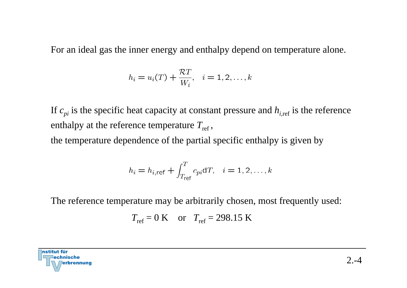For an ideal gas the inner energy and enthalpy depend on temperature alone.

$$
h_i = u_i(T) + \frac{\mathcal{R}T}{W_i}, \quad i = 1, 2, \dots, k
$$

If  $c_{pi}$  is the specific heat capacity at constant pressure and  $h_{i,ref}$  is the reference enthalpy at the reference temperature  $T_{\rm ref},$ 

the temperature dependence of the partial specific enthalpy is given by

$$
h_i = h_{i, \text{ref}} + \int_{T_{\text{ref}}}^{T} c_{pi} dT, \quad i = 1, 2, \dots, k
$$

The reference temperature may be arbitrarily chosen, most frequently used:

$$
T_{ref} = 0 \text{ K}
$$
 or  $T_{ref} = 298.15 \text{ K}$ 

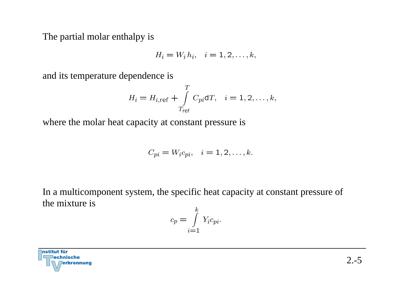The partial molar enthalpy is

$$
H_i = W_i h_i, \quad i = 1, 2, \dots, k,
$$

and its temperature dependence is

$$
H_i = H_{i,\text{ref}} + \int_{T_{\text{ref}}}^{T} C_{pi} dT, \quad i = 1, 2, \dots, k,
$$

where the molar heat capacity at constant pressure is

$$
C_{pi} = W_i c_{pi}, \quad i = 1, 2, \dots, k.
$$

In a multicomponent system, the specific heat capacity at constant pressure of the mixture is

$$
c_p = \int_{i=1}^{k} Y_i c_{pi}.
$$

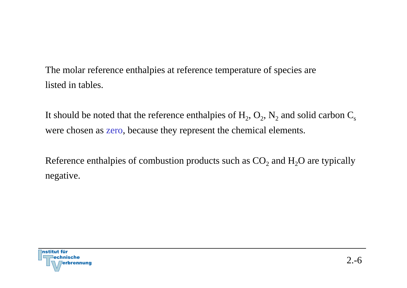The molar reference enthalpies at reference temperature of species are listed in tables.

It should be noted that the reference enthalpies of  $\rm H_2,\,O_2,\,N_2$  and solid carbon  $\rm C_s$ were chosen as zero, because they represent the chemical elements.

Reference enthalpies of combustion products such as  $\mathrm{CO}_2$  and  $\mathrm{H}_2\mathrm{O}$  are typically negative.

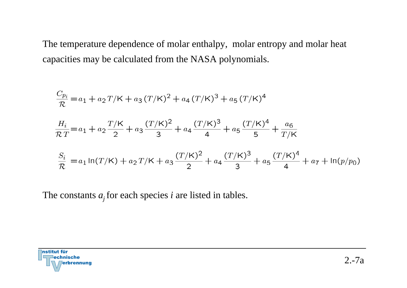The temperature dependence of molar enthalpy, molar entropy and molar heat capacities may be calculated from the NASA polynomials.

$$
\frac{C_{p_i}}{\mathcal{R}} = a_1 + a_2 T/K + a_3 (T/K)^2 + a_4 (T/K)^3 + a_5 (T/K)^4
$$
\n
$$
\frac{H_i}{\mathcal{R}T} = a_1 + a_2 \frac{T/K}{2} + a_3 \frac{(T/K)^2}{3} + a_4 \frac{(T/K)^3}{4} + a_5 \frac{(T/K)^4}{5} + \frac{a_6}{T/K}
$$
\n
$$
\frac{S_i}{\mathcal{R}} = a_1 \ln(T/K) + a_2 T/K + a_3 \frac{(T/K)^2}{2} + a_4 \frac{(T/K)^3}{3} + a_5 \frac{(T/K)^4}{4} + a_7 + \ln(p/p_0)
$$

The constants  $a_j$  for each species *i* are listed in tables.

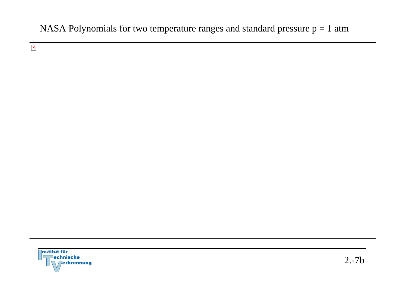#### NASA Polynomials for two temperature ranges and standard pressure  $p = 1$  atm

 $\mathbf{x}$ 

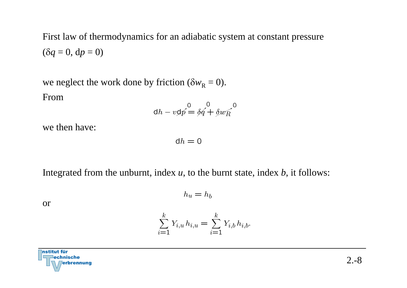First law of thermodynamics for an adiabatic system at constant pressure ( δ *q* = 0, d*p* = 0)

we neglect the work done by friction ( $\delta w_{\rm R} = 0$ ). From

$$
dh - v\phi \stackrel{0}{p} = \delta q + \delta w \stackrel{0}{R}
$$

we then have:

 $dh = 0$ 

Integrated from the unburnt, index *<sup>u</sup>*, to the burnt state, index *b*, it follows:

 $h_u = h_b$ 

or

$$
\sum_{i=1}^{k} Y_{i,u} h_{i,u} = \sum_{i=1}^{k} Y_{i,b} h_{i,b}.
$$

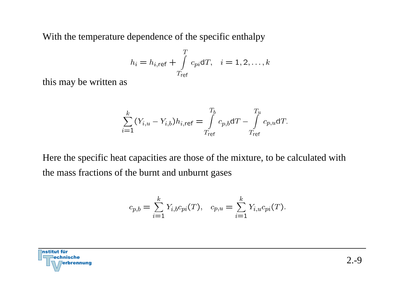With the temperature dependence of the specific enthalpy

$$
h_i = h_{i,\text{ref}} + \int_{T_{\text{ref}}}^{T} c_{pi} dT, \quad i = 1, 2, \dots, k
$$

this may be written as

$$
\sum_{i=1}^{k} (Y_{i,u} - Y_{i,b}) h_{i,\text{ref}} = \int_{T_{\text{ref}}}^{T_b} c_{p,b} dT - \int_{T_{\text{ref}}}^{T_u} c_{p,u} dT.
$$

Here the specific heat capacities are those of the mixture, to be calculated with the mass fractions of the burnt and unburnt gases

$$
c_{p,b} = \sum_{i=1}^{k} Y_{i,b} c_{pi}(T), \quad c_{p,u} = \sum_{i=1}^{k} Y_{i,u} c_{pi}(T).
$$

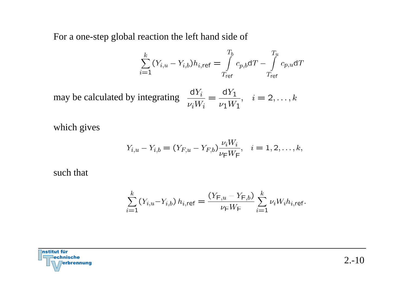For a one-step global reaction the left hand side of

$$
\sum_{i=1}^{k} (Y_{i,u} - Y_{i,b}) h_{i,\text{ref}} = \int_{T_{\text{ref}}}^{T_b} c_{p,b} dT - \int_{T_{\text{ref}}}^{T_u} c_{p,u} dT
$$

may be calculated by integrating  $\frac{dY_i}{\nu_i W_i} = \frac{dY_1}{\nu_1 W_1}$ ,  $i = 2,...,k$ 

which gives

$$
Y_{i,u} - Y_{i,b} = (Y_{F,u} - Y_{F,b}) \frac{\nu_i W_i}{\nu_F W_F}, \quad i = 1, 2, \dots, k,
$$

such that

$$
\sum_{i=1}^{k} (Y_{i,u} - Y_{i,b}) h_{i,\text{ref}} = \frac{(Y_{F,u} - Y_{F,b})}{\nu_F W_F} \sum_{i=1}^{k} \nu_i W_i h_{i,\text{ref}}.
$$

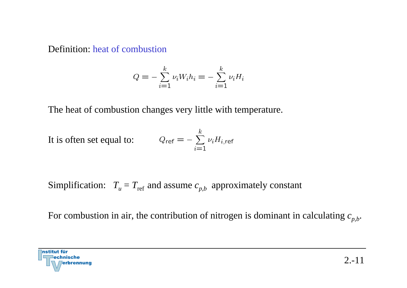#### Definition: heat of combustion

$$
Q = -\sum_{i=1}^{k} \nu_i W_i h_i = -\sum_{i=1}^{k} \nu_i H_i
$$

The heat of combustion changes very little with temperature.

It is often set equal to: 
$$
Q_{ref} = -\sum_{i=1}^{k} \nu_i H_{i,ref}
$$

Simplification:  $T_{u} = T_{\mathrm{ref}}$  and assume  $c_{p,b}$  approximately constant

For combustion in air, the contribution of nitrogen is dominant in calculating  $c_{p,b}$ .

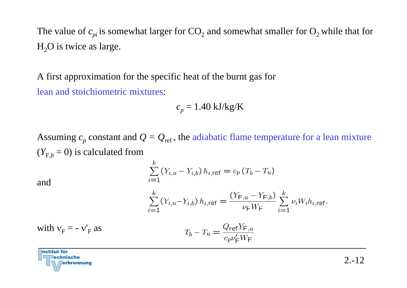The value of  $c_{pi}$  is somewhat larger for  $CO_2$  and somewhat smaller for  $O_2$  while that for  $H<sub>2</sub>O$  is twice as large.

A first approximation for the specific heat of the burnt gas for lean and stoichiometric mixtures:

$$
c_p = 1.40 \text{ kJ/kg/K}
$$

Assuming  $c_p$  constant and  $Q = Q_{ref}$ , the adiabatic flame temperature for a lean mixture  $(Y_{F,b} = 0)$  is calculated from

and

$$
\sum_{i=1}^{k} (Y_{i,u} - Y_{i,b}) h_{i,\text{ref}} = c_p (T_b - T_u)
$$
\n
$$
\sum_{i=1}^{k} (Y_{i,u} - Y_{i,b}) h_{i,\text{ref}} = \frac{(Y_{F,u} - Y_{F,b})}{W} \sum_{i=1}^{k} \nu_i W_i h_{i,\text{ref}}.
$$

$$
\sum_{i=1}^{N} (Y_{i,u} - Y_{i,b}) h_{i,\text{ref}} = \frac{1}{\nu_{\text{F}} W_{\text{F}}} \sum_{i=1}^{N} \nu_i W_i h_{i,\text{ref}}
$$

with 
$$
v_F = -v'_F
$$
 as 
$$
T_b - T_u = \frac{Q_{ref}Y_{F,u}}{c_p v'_F W_F}
$$

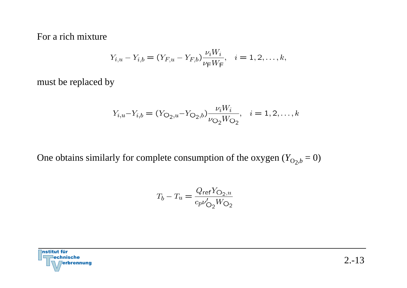For a rich mixture

$$
Y_{i,u} - Y_{i,b} = (Y_{F,u} - Y_{F,b}) \frac{\nu_i W_i}{\nu_F W_F}, \quad i = 1, 2, \dots, k,
$$

must be replaced by

$$
Y_{i,u} - Y_{i,b} = (Y_{O_2,u} - Y_{O_2,b}) \frac{\nu_i W_i}{\nu_{O_2} W_{O_2}}, \quad i = 1, 2, \dots, k
$$

One obtains similarly for complete consumption of the oxygen  $(Y_{O_2,b} = 0)$ 

$$
T_b - T_u = \frac{Q_{\text{ref}} Y_{\text{O}_2, u}}{c_p \nu'_{\text{O}_2} W_{\text{O}_2}}
$$

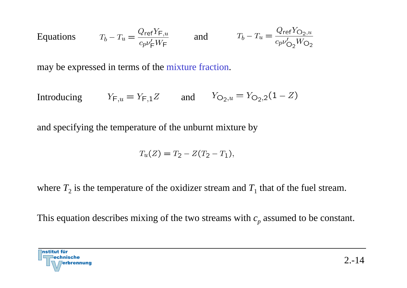Equations 
$$
T_b - T_u = \frac{Q_{\text{ref}} Y_{F,u}}{c_p v'_F W_F}
$$
 and  $T_b - T_u = \frac{Q_{\text{ref}} Y_{O_2, u}}{c_p v'_{O_2} W_{O_2}}$ 

may be expressed in terms of the mixture fraction.

Introducing  $Y_{F,u} = Y_{F,1}Z$  and  $Y_{O_2,u} = Y_{O_2,2}(1 - Z)$ 

and specifying the temperature of the unburnt mixture by

$$
T_u(Z) = T_2 - Z(T_2 - T_1),
$$

where  $T_2$  is the temperature of the oxidizer stream and  $T_1$  that of the fuel stream.

This equation describes mixing of the two streams with  $c_p$  assumed to be constant.

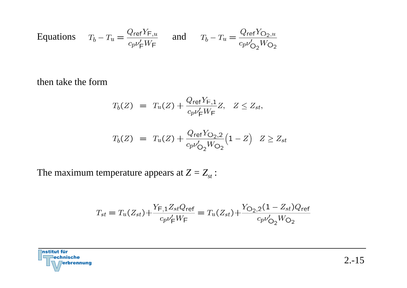Equations 
$$
T_b - T_u = \frac{Q_{\text{ref}} Y_{F,u}}{c_p v_F' W_F}
$$
 and  $T_b - T_u = \frac{Q_{\text{ref}} Y_{O_2, u}}{c_p v_{O_2}' W_{O_2}}$ 

then take the form

$$
T_b(Z) = T_u(Z) + \frac{Q_{\text{ref}} Y_{\text{F},1}}{c_p \nu_{\text{F}}' W_{\text{F}}} Z, \quad Z \le Z_{st},
$$

$$
T_b(Z) = T_u(Z) + \frac{Q_{\text{ref}} Y_{\text{O}_2,2}}{c_p v'_{\text{O}_2} W_{\text{O}_2}} \big(1 - Z\big) \quad Z \ge Z_{st}
$$

The maximum temperature appears at  $Z = Z_{st}$ :

$$
T_{st} = T_u(Z_{st}) + \frac{Y_{F,1}Z_{st}Q_{ref}}{c_p V_{F}'W_{F}} = T_u(Z_{st}) + \frac{Y_{O_2,2}(1 - Z_{st})Q_{ref}}{c_p V_{O_2}W_{O_2}}
$$

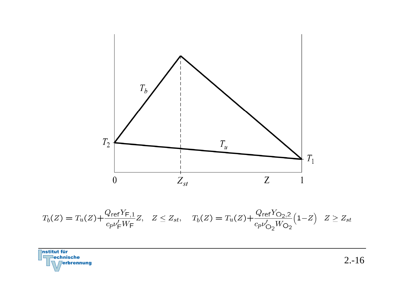

$$
T_b(Z) = T_u(Z) + \frac{Q_{\text{ref}} Y_{\text{F},1}}{c_p v_{\text{F}}' W_{\text{F}}} Z, \quad Z \le Z_{st}, \quad T_b(Z) = T_u(Z) + \frac{Q_{\text{ref}} Y_{\text{O}_2,2}}{c_p v_{\text{O}_2}' W_{\text{O}_2}} \left(1 - Z\right) \quad Z \ge Z_{st}
$$

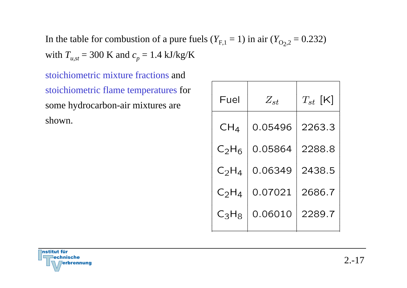In the table for combustion of a pure fuels ( $Y_{F,1} = 1$ ) in air ( $Y_{O_2,2} = 0.232$ ) with  $T_{u,st}$  = 300 K and  $c_p$  = 1.4 kJ/kg/K

stoichiometric mixture fractions and stoichiometric flame temperatures for some hydrocarbon-air mixtures are shown.

| Fuel            | $Z_{st}$ | $T_{st}\;[\mathsf{K}]$ |
|-----------------|----------|------------------------|
| CH <sub>4</sub> | 0.05496  | 2263.3                 |
| $C_2H_6$        | 0.05864  | 2288.8                 |
| $C_2H_4$        | 0.06349  | 2438.5                 |
| $C_2H_4$        | 0.07021  | 2686.7                 |
| $C_3H_8$        | 0.06010  | 2289.7                 |

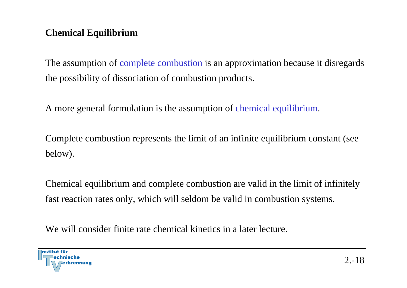# **Chemical Equilibrium**

The assumption of complete combustion is an approximation because it disregards the possibility of dissociation of combustion products.

A more general formulation is the assumption of chemical equilibrium.

Complete combustion represents the limit of an infinite equilibrium constant (see below).

Chemical equilibrium and complete combustion are valid in the limit of infinitely fast reaction rates only, which will seldom be valid in combustion systems.

We will consider finite rate chemical kinetics in a later lecture.

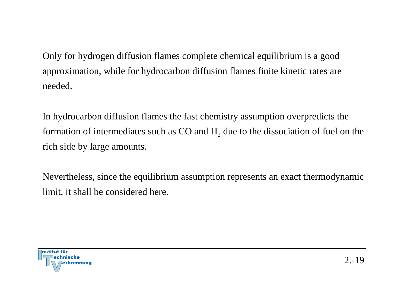Only for hydrogen diffusion flames complete chemical equilibrium is a good approximation, while for hydrocarbon diffusion flames finite kinetic rates are needed.

In hydrocarbon diffusion flames the fast chemistry assumption overpredicts the formation of intermediates such as CO and  $\rm{H}_{2}$  due to the dissociation of fuel on the rich side by large amounts.

Nevertheless, since the equilibrium assumption represents an exact thermodynamic limit, it shall be considered here.

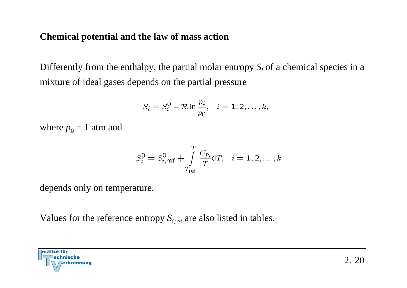#### **Chemical potential and the law of mass action**

Differently from the enthalpy, the partial molar entropy *Si* of a chemical species in a mixture of ideal gases depends on the partial pressure

$$
S_i = S_i^0 - \mathcal{R} \ln \frac{p_i}{p_0}, \quad i = 1, 2, \dots, k,
$$

where  $p_{0} = 1$  atm and

$$
S_i^0 = S_{i, \text{ref}}^0 + \int_{T_{\text{ref}}}^T \frac{C_{p_i}}{T} dT, \quad i = 1, 2, \dots, k
$$

depends only on temperature.

Values for the reference entropy  $S_{i,\mathrm{ref}}$  are also listed in tables.

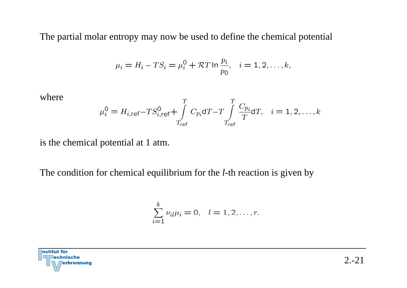The partial molar entropy may now be used to define the chemical potential

$$
\mu_i = H_i - TS_i = \mu_i^0 + RT \ln \frac{p_i}{p_0}, \quad i = 1, 2, \dots, k,
$$

where  

$$
\mu_i^0 = H_{i, \text{ref}} - TS_{i, \text{ref}}^0 + \int_{T_{\text{ref}}}^T C_{p_i} dT - T \int_{T_{\text{ref}}}^T \frac{C_{p_i}}{T} dT, \quad i = 1, 2, \dots, k
$$

is the chemical potential at 1 atm.

The condition for chemical equilibrium for the *l*-th reaction is given by

$$
\sum_{i=1}^{k} \nu_{il} \mu_i = 0, \quad l = 1, 2, \dots, r.
$$

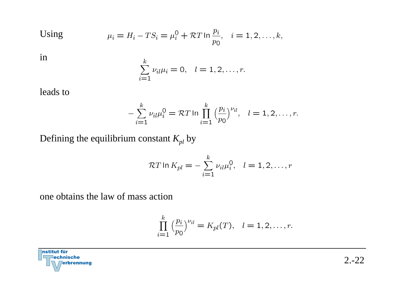$$
2.-22
$$

Using 
$$
\mu_i = H_i - TS_i = \mu_i^0 + RT \ln \frac{p_i}{p_0}, \quad i = 1, 2, ..., k,
$$

in

$$
\sum_{i=1}^{k} \nu_{il} \mu_i = 0, \quad l = 1, 2, \dots, r.
$$

leads to

$$
-\sum_{i=1}^{k} \nu_{il} \mu_i^0 = \mathcal{R} T \ln \prod_{i=1}^{k} \left(\frac{p_i}{p_0}\right)^{\nu_{il}}, \quad l = 1, 2, \dots, r.
$$

Defining the equilibrium constant  $K_{pl}$  by

$$
\mathcal{R}T \ln K_{pl} = -\sum_{i=1}^{k} \nu_{il} \mu_i^0, \quad l = 1, 2, \dots, r
$$

one obtains the law of mass action

$$
\prod_{i=1}^{k} \left(\frac{p_i}{p_0}\right)^{\nu_{il}} = K_{pl}(T), \quad l = 1, 2, \dots, r.
$$

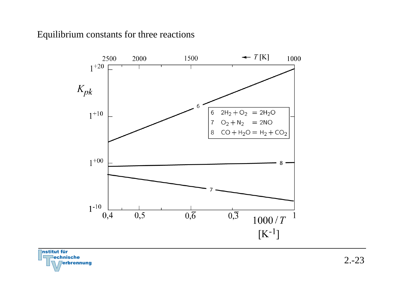#### Equilibrium constants for three reactions



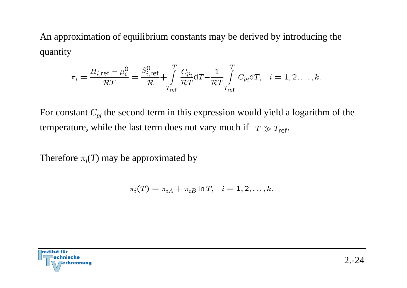An approximation of equilibrium constants may be derived by introducing the quantity

$$
\pi_i = \frac{H_{i,\text{ref}} - \mu_i^0}{\mathcal{R}T} = \frac{S_{i,\text{ref}}^0}{\mathcal{R}} + \int\limits_{T_{\text{ref}}}^T \frac{C_{p_i}}{\mathcal{R}T} dT - \frac{1}{\mathcal{R}T} \int\limits_{T_{\text{ref}}}^T C_{p_i} dT, \quad i = 1, 2, \dots, k.
$$

For constant  $C_{pi}$  the second term in this expression would yield a logarithm of the temperature, while the last term does not vary much if  $T \gg T_{\text{ref}}$ .

Therefore  $\pi_i(T)$  may be approximated by

$$
\pi_i(T) = \pi_{iA} + \pi_{iB} \ln T, \quad i = 1, 2, \dots, k.
$$

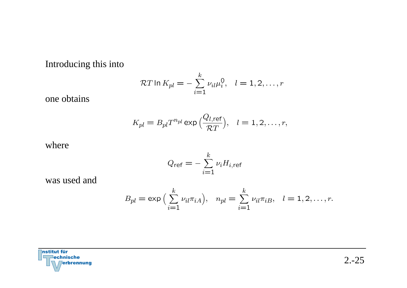Introducing this into

$$
\mathcal{R}T \ln K_{pl} = -\sum_{i=1}^{k} \nu_{il} \mu_i^0, \quad l = 1, 2, \dots, r
$$

one obtains

$$
K_{pl} = B_{pl} T^{n_{pl}} \exp\left(\frac{Q_{l,ref}}{\mathcal{R}T}\right), \quad l = 1, 2, \dots, r,
$$

where

$$
Q_{\text{ref}} = -\sum_{i=1}^{k} \nu_i H_{i,\text{ref}}
$$

was used and

$$
B_{pl} = \exp\left(\sum_{i=1}^{k} \nu_{il} \pi_{iA}\right), \quad n_{pl} = \sum_{i=1}^{k} \nu_{il} \pi_{iB}, \quad l = 1, 2, \dots, r.
$$

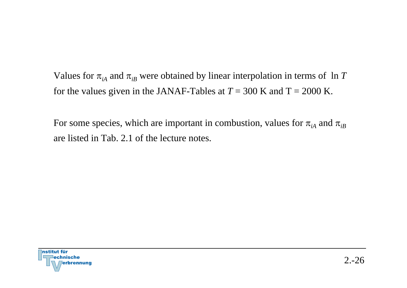Values for  $\pi_{iA}$  and  $\pi_{iB}$  were obtained by linear interpolation in terms of ln  $T$ for the values given in the JANAF-Tables at  $T = 300$  K and  $T = 2000$  K.

For some species, which are important in combustion, values for  $\pi_{_{iA}}$  and  $\pi_{_{iB}}$ are listed in Tab. 2.1 of the lecture notes.

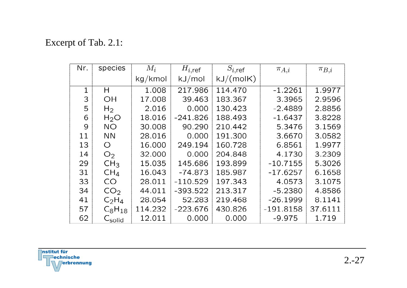# Excerpt of Tab. 2.1:

| Nr.         | species            | $M_i$   | $H_{i,\text{ref}}$ | $S_{i,\text{ref}}$ | $\pi_{A,i}$ | $\pi_{B,i}$ |
|-------------|--------------------|---------|--------------------|--------------------|-------------|-------------|
|             |                    | kg/kmol | kJ/mol             | kJ/(molK)          |             |             |
| $\mathbf 1$ | H                  | 1.008   | 217.986            | 114,470            | $-1.2261$   | 1.9977      |
| 3           | OH                 | 17.008  | 39.463             | 183.367            | 3.3965      | 2.9596      |
| 5           | H <sub>2</sub>     | 2.016   | 0.000              | 130.423            | $-2.4889$   | 2.8856      |
| 6           | $H_2O$             | 18.016  | $-241.826$         | 188.493            | $-1.6437$   | 3.8228      |
| 9           | <b>NO</b>          | 30.008  | 90.290             | 210.442            | 5.3476      | 3.1569      |
| 11          | <b>NN</b>          | 28.016  | 0.000              | 191.300            | 3.6670      | 3.0582      |
| 13          | $\bigcirc$         | 16.000  | 249.194            | 160.728            | 6.8561      | 1.9977      |
| 14          | O <sub>2</sub>     | 32.000  | 0.000              | 204.848            | 4.1730      | 3.2309      |
| 29          | CH <sub>3</sub>    | 15.035  | 145.686            | 193.899            | $-10.7155$  | 5.3026      |
| 31          | CH <sub>4</sub>    | 16.043  | $-74.873$          | 185.987            | $-17.6257$  | 6.1658      |
| 33          | CO <sub>.</sub>    | 28.011  | $-110.529$         | 197.343            | 4.0573      | 3.1075      |
| 34          | CO <sub>2</sub>    | 44.011  | $-393.522$         | 213.317            | $-5.2380$   | 4.8586      |
| 41          | $C_2H_4$           | 28.054  | 52.283             | 219.468            | $-26.1999$  | 8.1141      |
| 57          | $C_8H_{18}$        | 114.232 | $-223.676$         | 430.826            | $-191.8158$ | 37.6111     |
| 62          | $C_{\text{solid}}$ | 12.011  | 0.000              | 0.000              | $-9.975$    | 1.719       |

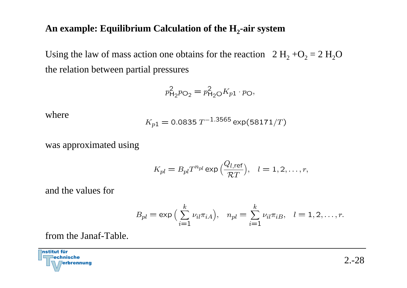#### **An example: Equilibrium Calculation of the H <sup>2</sup>-air system**

Using the law of mass action one obtains for the reaction  $2 \text{ H}_2 + \text{O}_2 = 2 \text{ H}_2\text{O}$ the relation between partial pressures

$$
p_{\mathsf{H}_2}^2 p_{\mathsf{O}_2} = p_{\mathsf{H}_2\mathsf{O}}^2 K_{p1} \cdot p_{\mathsf{O}},
$$

where

$$
K_{p1} = 0.0835 \, T^{-1.3565} \exp(58171/T)
$$

was approximated using

$$
K_{pl} = B_{pl} T^{n_{pl}} \exp\left(\frac{Q_{l,\text{ref}}}{\mathcal{R}T}\right), \quad l = 1, 2, \dots, r,
$$

and the values for

$$
B_{pl} = \exp\left(\sum_{i=1}^{k} \nu_{il} \pi_{iA}\right), \quad n_{pl} = \sum_{i=1}^{k} \nu_{il} \pi_{iB}, \quad l = 1, 2, \dots, r.
$$

from the Janaf-Table.

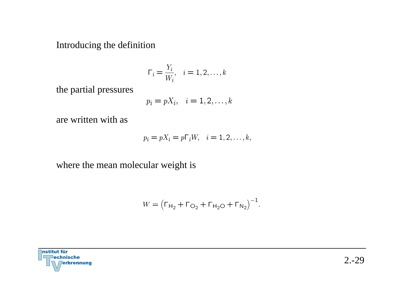Introducing the definition

$$
\Gamma_i = \frac{Y_i}{W_i}, \quad i = 1, 2, \dots, k
$$

the partial pressures

$$
p_i = pX_i, \quad i = 1, 2, \dots, k
$$

are written with as

$$
p_i = pX_i = p\Gamma_i W, \quad i = 1, 2, \dots, k,
$$

where the mean molecular weight is

$$
W = (\Gamma_{H_2} + \Gamma_{O_2} + \Gamma_{H_2O} + \Gamma_{N_2})^{-1}.
$$

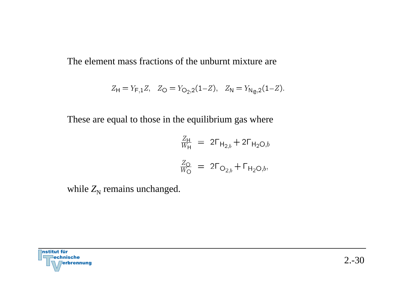The element mass fractions of the unburnt mixture are

$$
Z_{\mathsf{H}} = Y_{\mathsf{F},1}Z, \quad Z_{\mathsf{O}} = Y_{\mathsf{O}_2,2}(1-Z), \quad Z_{\mathsf{N}} = Y_{\mathsf{N}_\mathsf{O},2}(1-Z).
$$

These are equal to those in the equilibrium gas where

$$
\frac{Z_{\rm H}}{W_{\rm H}} = 2\Gamma_{\rm H_{2,b}} + 2\Gamma_{\rm H_2O,b}
$$

$$
\frac{Z_{\rm O}}{W_{\rm O}} = 2\Gamma_{\rm O_{2,b}} + \Gamma_{\rm H_2O,b},
$$

while  $Z_N$  remains unchanged.

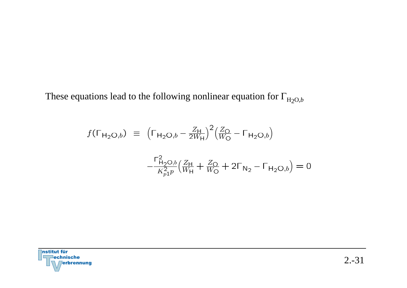These equations lead to the following nonlinear equation for  $\Gamma_{H_2O,b}$ 

$$
f(\Gamma_{\mathsf{H}_2\mathsf{O},b}) = \left(\Gamma_{\mathsf{H}_2\mathsf{O},b} - \frac{Z_{\mathsf{H}}}{2W_{\mathsf{H}}}\right)^2 \left(\frac{Z_{\mathsf{O}}}{W_{\mathsf{O}}} - \Gamma_{\mathsf{H}_2\mathsf{O},b}\right)
$$

$$
-\frac{\Gamma_{\mathsf{H}_2\mathsf{O},b}^2}{K_{p1}^2 p} \left(\frac{Z_{\mathsf{H}}}{W_{\mathsf{H}}} + \frac{Z_{\mathsf{O}}}{W_{\mathsf{O}}} + 2\Gamma_{\mathsf{N}_2} - \Gamma_{\mathsf{H}_2\mathsf{O},b}\right) = 0
$$

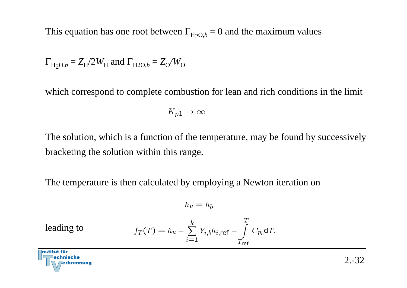This equation has one root between  $\Gamma_{H_2O,b} = 0$  and the maximum values

$$
\Gamma_{\text{H}_2\text{O},b} = Z_{\text{H}}/2W_{\text{H}}
$$
 and  $\Gamma_{\text{H}_2\text{O},b} = Z_{\text{O}}/W_{\text{O}}$ 

which correspond to complete combustion for lean and rich conditions in the limit

$$
K_{p1}\to\infty
$$

The solution, which is a function of the temperature, may be found by successively bracketing the solution within this range.

The temperature is then calculated by employing a Newton iteration on

$$
h_u = h_b
$$

leading to

$$
f_T(T) = h_u - \sum_{i=1}^k Y_{i,b} h_{i,ref} - \int_{T_{ref}}^T C_{p_b} dT.
$$

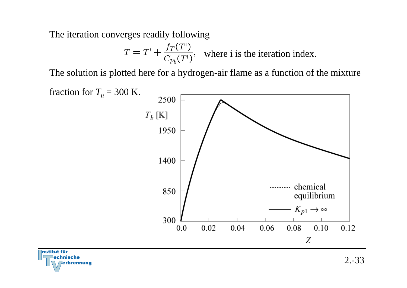The iteration converges readily following

rbrennung

$$
T = T^{1} + \frac{f_{T}(T^{1})}{C_{p_{b}}(T^{1})}
$$
, where i is the iteration index.

The solution is plotted here for a hydrogen-air flame as a function of the mixture



2.-33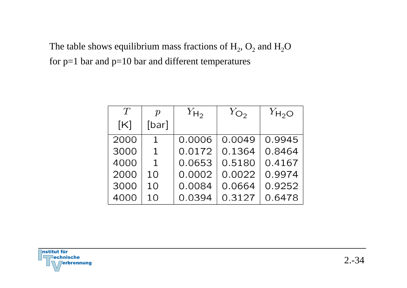The table shows equilibrium mass fractions of  $\rm H_2,\,O_2$  and  $\rm H_2O$ for  $p=1$  bar and  $p=10$  bar and different temperatures

| T    | $\boldsymbol{p}$ | $Y_{H_2}$ | $Y_{\mathbb{O}_2}$ | $Y_{H_2O}$ |
|------|------------------|-----------|--------------------|------------|
| [K]  | [bar]            |           |                    |            |
| 2000 | $\mathbf{1}$     | 0.0006    | 0.0049             | 0.9945     |
| 3000 | $\mathbf 1$      | 0.0172    | 0.1364             | 0.8464     |
| 4000 | 1                | 0.0653    | 0.5180             | 0.4167     |
| 2000 | 10               | 0.0002    | 0.0022             | 0.9974     |
| 3000 | 10               | 0.0084    | 0.0664             | 0.9252     |
| 4000 | 1 <sub>0</sub>   | 0.0394    | 0.3127             | 0.6478     |

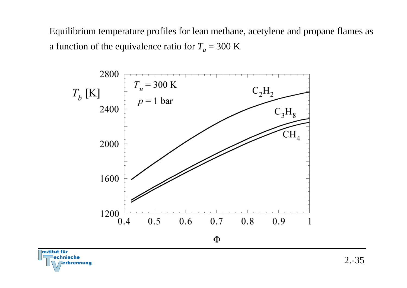Equilibrium temperature profiles for lean methane, acetylene and propane flames as a function of the equivalence ratio for  $T_u$  = 300  $\rm K$ 



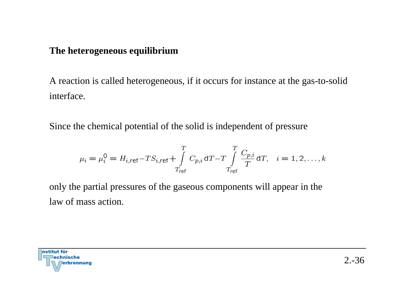#### **The heterogeneous equilibrium**

A reaction is called heterogeneous, if it occurs for instance at the gas-to-solid interface.

Since the chemical potential of the solid is independent of pressure

$$
\mu_i = \mu_i^0 = H_{i, \text{ref}} - TS_{i, \text{ref}} + \int_{T_{\text{ref}}}^{T} C_{p,i} \, dT - T \int_{T_{\text{ref}}}^{T} \frac{C_{p,i}}{T} \, dT, \quad i = 1, 2, \dots, k
$$

only the partial pressures of the gaseous components will appear in the law of mass action.

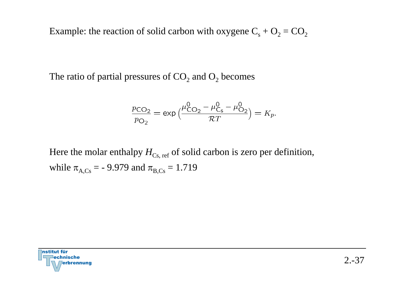Example: the reaction of solid carbon with oxygene  $\text{C}_{\text{s}} + \text{O}_2$  =  $\text{CO}_2$ 

The ratio of partial pressures of  $\mathrm{CO}_2$  and  $\mathrm{O}_2$  becomes

$$
\frac{p_{\text{CO}_2}}{p_{\text{O}_2}} = \exp\left(\frac{\mu_{\text{CO}_2}^0 - \mu_{\text{C}_s}^0 - \mu_{\text{O}_2}^0}{\mathcal{R}T}\right) = K_p.
$$

Here the molar enthalpy  $H_{\text{Cs, ref}}$  of solid carbon is zero per definition, while  $\pi_{A, \text{Cs}} =$  - 9.979 and  $\pi_{B, \text{Cs}} = 1.719$ 

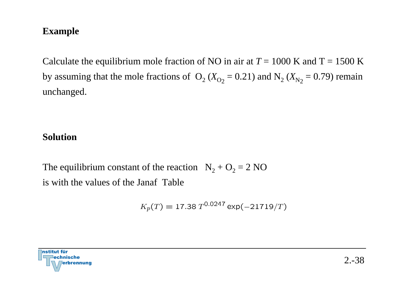### **Example**

Calculate the equilibrium mole fraction of NO in air at  $T = 1000$  K and  $T = 1500$  K by assuming that the mole fractions of  $O_2$  ( $X_{O_2}$  = 0.21) and  $N_2$  ( $X_{N_2}$  = 0.79) remain unchanged.

#### **Solution**

The equilibrium constant of the reaction  $N_2 + O_2 = 2 N O$ is with the values of the Janaf Table

$$
K_p(T) = 17.38 \, T^{0.0247} \exp(-21719/T)
$$

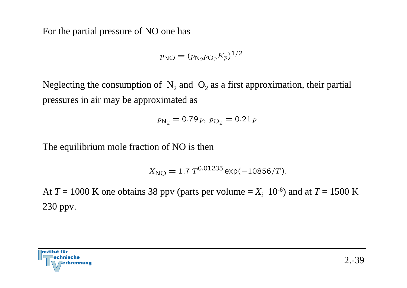For the partial pressure of NO one has

$$
p_{\rm NO} = (p_{\rm N_2} p_{\rm O_2} K_p)^{1/2}
$$

Neglecting the consumption of  $N_2$  and  $O_2$  as a first approximation, their partial pressures in air may be approximated as

$$
p_{\mathsf{N}_2} = 0.79 \, p, \ p_{\mathsf{O}_2} = 0.21 \, p
$$

The equilibrium mole fraction of NO is then

$$
X_{\rm NO} = 1.7 \ T^{0.01235} \exp(-10856/T).
$$

At  $T = 1000$  K one obtains 38 ppv (parts per volume  $=X_i$  10<sup>-6</sup>) and at  $T = 1500$  K 230 ppv.